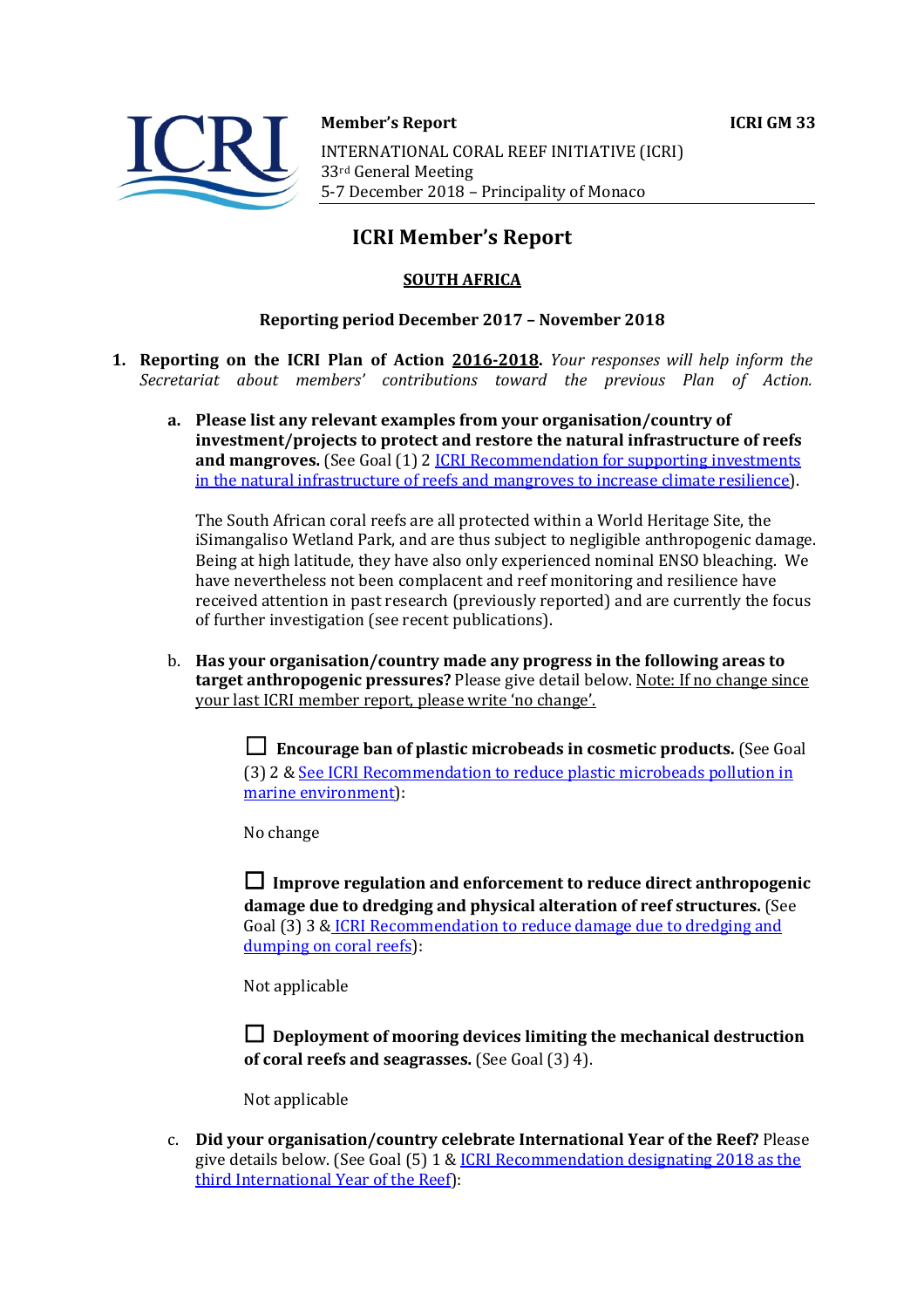



**Member's Report ICRI GM 33** 

INTERNATIONAL CORAL REEF INITIATIVE (ICRI) 33rd General Meeting 5-7 December 2018 - Principality of Monaco

# **ICRI Member's Report**

## **SOUTH AFRICA**

### **Reporting period December 2017 - November 2018**

- **1. Reporting on the ICRI Plan of Action 2016-2018.** *Your responses will help inform the Secretariat about members' contributions toward the previous Plan of Action.*
	- a. Please list any relevant examples from your organisation/country of **investment/projects to protect and restore the natural infrastructure of reefs and mangroves.** (See Goal (1) 2 *ICRI Recommendation for supporting investments* in the natural infrastructure of reefs and mangroves to increase climate resilience).

The South African coral reefs are all protected within a World Heritage Site, the iSimangaliso Wetland Park, and are thus subject to negligible anthropogenic damage. Being at high latitude, they have also only experienced nominal ENSO bleaching. We have nevertheless not been complacent and reef monitoring and resilience have received attention in past research (previously reported) and are currently the focus of further investigation (see recent publications).

b. Has your organisation/country made any progress in the following areas to **target anthropogenic pressures?** Please give detail below. Note: If no change since your last ICRI member report, please write 'no change'.

> **□** Encourage ban of plastic microbeads in cosmetic products. (See Goal (3) 2 & See ICRI Recommendation to reduce plastic microbeads pollution in marine environment):

No change

 $\Box$  Improve regulation and enforcement to reduce direct anthropogenic damage due to dredging and physical alteration of reef structures. (See Goal (3) 3 & ICRI Recommendation to reduce damage due to dredging and dumping on coral reefs):

Not applicable

 $\Box$  Deployment of mooring devices limiting the mechanical destruction **of coral reefs and seagrasses.** (See Goal (3) 4).

Not applicable

c. **Did your organisation/country celebrate International Year of the Reef?** Please give details below. (See Goal  $(5)$  1 & ICRI Recommendation designating 2018 as the third International Year of the Reef):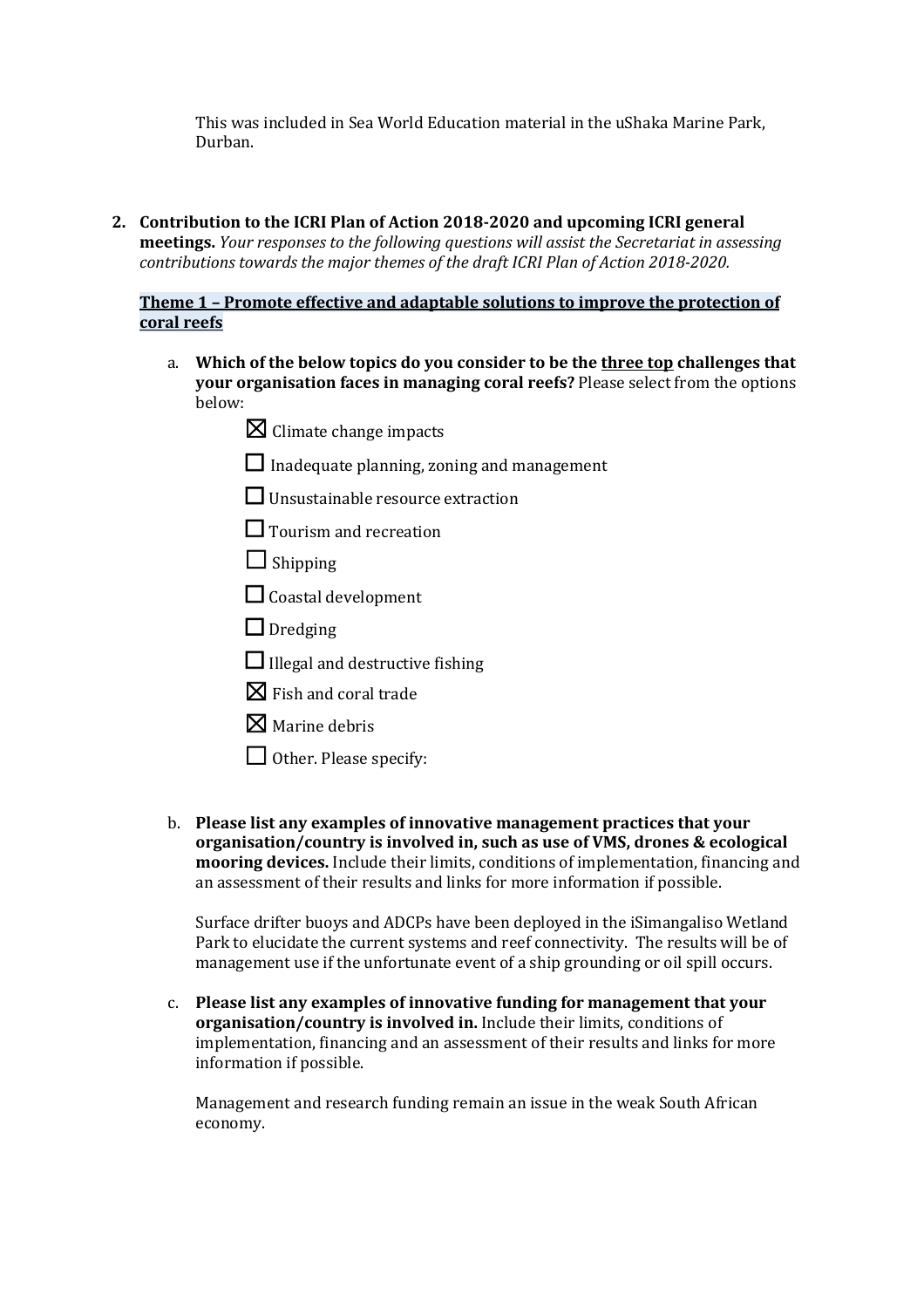This was included in Sea World Education material in the uShaka Marine Park, Durban.

2. Contribution to the ICRI Plan of Action 2018-2020 and upcoming ICRI general **meetings.** *Your responses to the following questions will assist the Secretariat in assessing contributions towards the major themes of the draft ICRI Plan of Action 2018-2020.* 

#### **Theme 1 - Promote effective and adaptable solutions to improve the protection of coral reefs**

- a. Which of the below topics do you consider to be the three top challenges that **your organisation faces in managing coral reefs?** Please select from the options below:
	- $\boxtimes$  Climate change impacts
	- $\Box$  Inadequate planning, zoning and management
	- $\Box$  Unsustainable resource extraction
	- $\Box$  Tourism and recreation
	- $\Box$  Shipping
	- $\Box$  Coastal development
	- $\Box$  Dredging
	- $\Box$  Illegal and destructive fishing
	- $\boxtimes$  Fish and coral trade
	- $\boxtimes$  Marine debris
	- $\Box$  Other. Please specify:
- b. Please list any examples of innovative management practices that your **organisation/country is involved in, such as use of VMS, drones & ecological mooring devices.** Include their limits, conditions of implementation, financing and an assessment of their results and links for more information if possible.

Surface drifter buoys and ADCPs have been deployed in the iSimangaliso Wetland Park to elucidate the current systems and reef connectivity. The results will be of management use if the unfortunate event of a ship grounding or oil spill occurs.

c. Please list any examples of innovative funding for management that your **organisation/country is involved in.** Include their limits, conditions of implementation, financing and an assessment of their results and links for more information if possible.

Management and research funding remain an issue in the weak South African economy.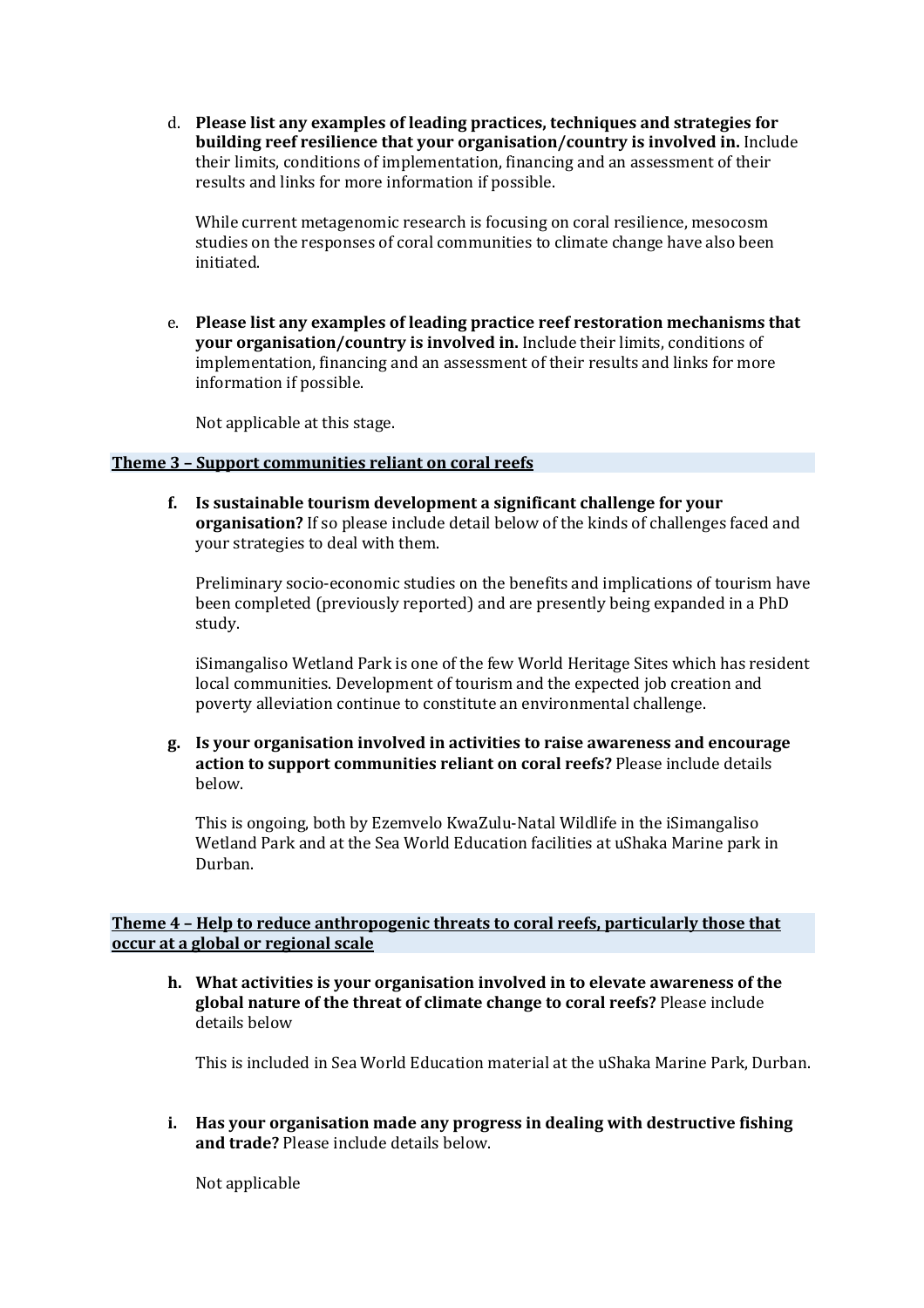d. Please list any examples of leading practices, techniques and strategies for **building reef resilience that your organisation/country is involved in.** Include their limits, conditions of implementation, financing and an assessment of their results and links for more information if possible.

While current metagenomic research is focusing on coral resilience, mesocosm studies on the responses of coral communities to climate change have also been initiated.

e. Please list any examples of leading practice reef restoration mechanisms that **your organisation/country is involved in.** Include their limits, conditions of implementation, financing and an assessment of their results and links for more information if possible.

Not applicable at this stage.

#### **Theme 3 - Support communities reliant on coral reefs**

**f.** Is sustainable tourism development a significant challenge for your **organisation?** If so please include detail below of the kinds of challenges faced and your strategies to deal with them.

Preliminary socio-economic studies on the benefits and implications of tourism have been completed (previously reported) and are presently being expanded in a PhD study.

iSimangaliso Wetland Park is one of the few World Heritage Sites which has resident local communities. Development of tourism and the expected job creation and poverty alleviation continue to constitute an environmental challenge.

**g. Is your organisation involved in activities to raise awareness and encourage action to support communities reliant on coral reefs?** Please include details below.

This is ongoing, both by Ezemvelo KwaZulu-Natal Wildlife in the iSimangaliso Wetland Park and at the Sea World Education facilities at uShaka Marine park in Durban.

#### **Theme 4 - Help to reduce anthropogenic threats to coral reefs, particularly those that occur at a global or regional scale**

h. What activities is your organisation involved in to elevate awareness of the **global nature of the threat of climate change to coral reefs?** Please include details below

This is included in Sea World Education material at the uShaka Marine Park, Durban.

**i.** Has your organisation made any progress in dealing with destructive fishing **and trade?** Please include details below.

Not applicable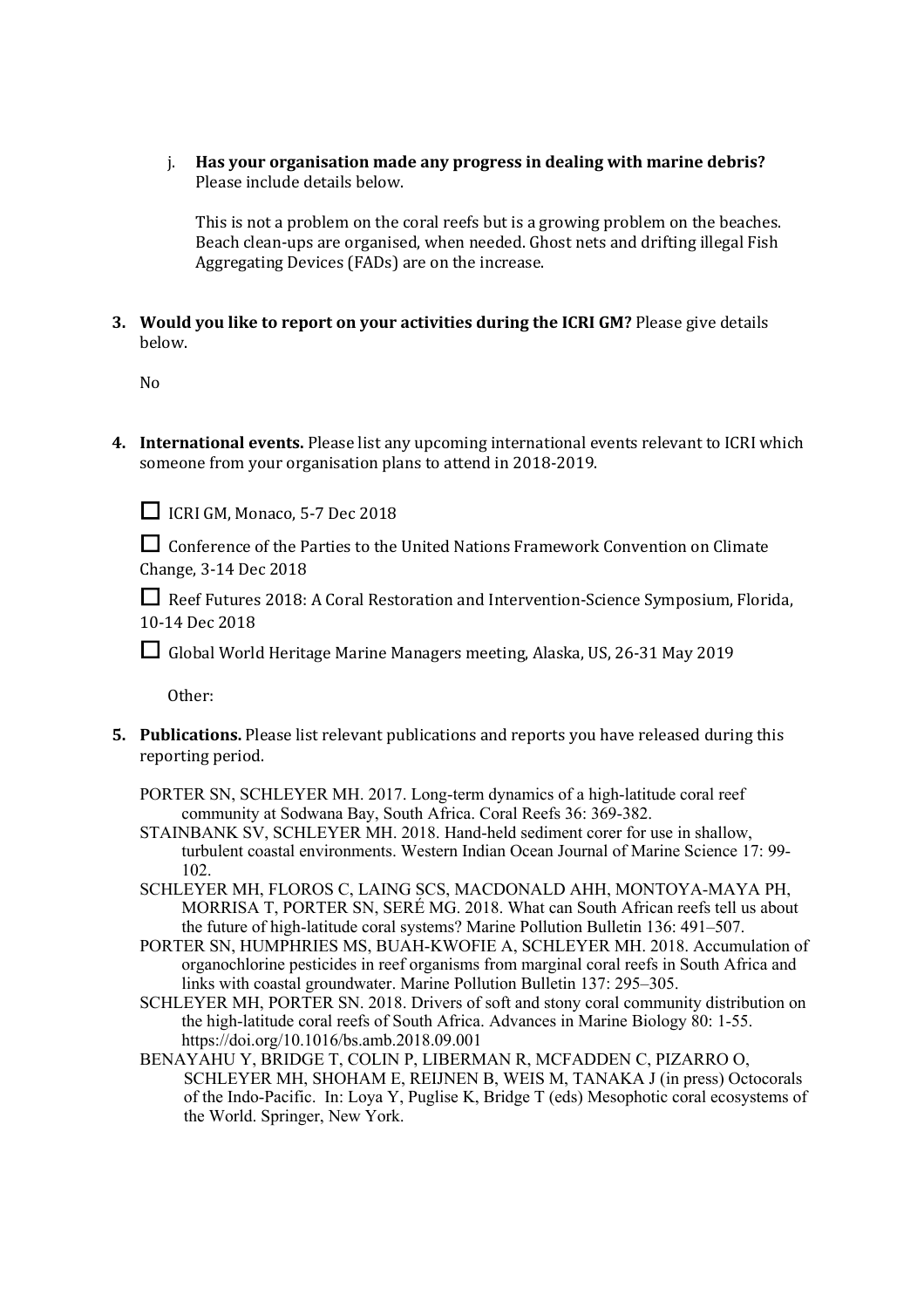i. Has your organisation made any progress in dealing with marine debris? Please include details below.

This is not a problem on the coral reefs but is a growing problem on the beaches. Beach clean-ups are organised, when needed. Ghost nets and drifting illegal Fish Aggregating Devices (FADs) are on the increase.

**3.** Would you like to report on your activities during the ICRI GM? Please give details below.

No

**4.** International events. Please list any upcoming international events relevant to ICRI which someone from your organisation plans to attend in 2018-2019.

□ ICRI GM, Monaco, 5-7 Dec 2018

□ Conference of the Parties to the United Nations Framework Convention on Climate Change, 3-14 Dec 2018

**□** Reef Futures 2018: A Coral Restoration and Intervention-Science Symposium, Florida, 10-14 Dec 2018

□ Global World Heritage Marine Managers meeting, Alaska, US, 26-31 May 2019

Other: 

**5.** Publications. Please list relevant publications and reports you have released during this reporting period.

PORTER SN, SCHLEYER MH. 2017. Long-term dynamics of a high-latitude coral reef community at Sodwana Bay, South Africa. Coral Reefs 36: 369-382.

- STAINBANK SV, SCHLEYER MH. 2018. Hand-held sediment corer for use in shallow, turbulent coastal environments. Western Indian Ocean Journal of Marine Science 17: 99- 102.
- SCHLEYER MH, FLOROS C, LAING SCS, MACDONALD AHH, MONTOYA-MAYA PH, MORRISA T, PORTER SN, SERÉ MG. 2018. What can South African reefs tell us about the future of high-latitude coral systems? Marine Pollution Bulletin 136: 491–507.
- PORTER SN, HUMPHRIES MS, BUAH-KWOFIE A, SCHLEYER MH. 2018. Accumulation of organochlorine pesticides in reef organisms from marginal coral reefs in South Africa and links with coastal groundwater. Marine Pollution Bulletin 137: 295–305.
- SCHLEYER MH, PORTER SN. 2018. Drivers of soft and stony coral community distribution on the high-latitude coral reefs of South Africa. Advances in Marine Biology 80: 1-55. https://doi.org/10.1016/bs.amb.2018.09.001
- BENAYAHU Y, BRIDGE T, COLIN P, LIBERMAN R, MCFADDEN C, PIZARRO O, SCHLEYER MH, SHOHAM E, REIJNEN B, WEIS M, TANAKA J (in press) Octocorals of the Indo-Pacific. In: Loya Y, Puglise K, Bridge T (eds) Mesophotic coral ecosystems of the World. Springer, New York.